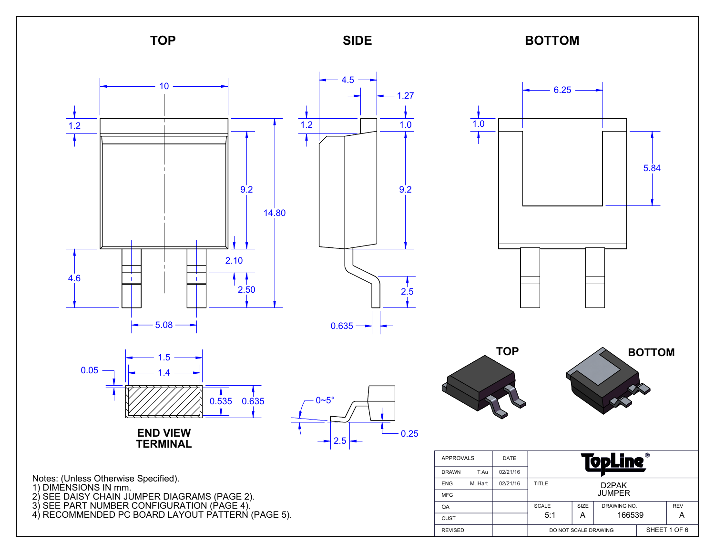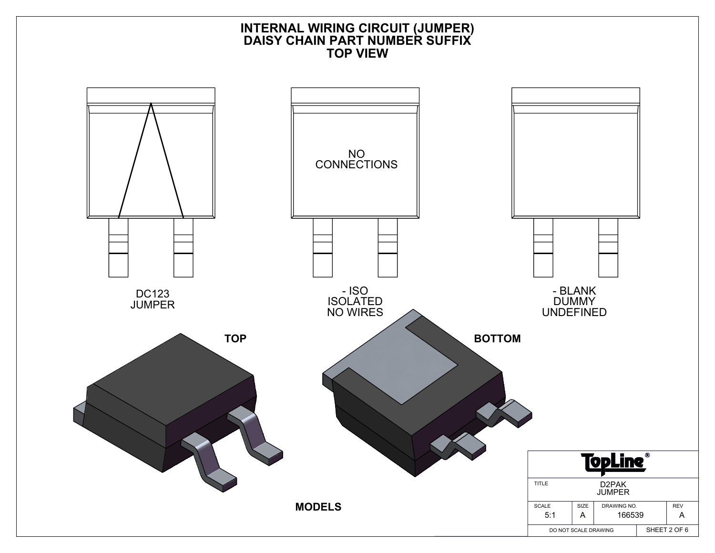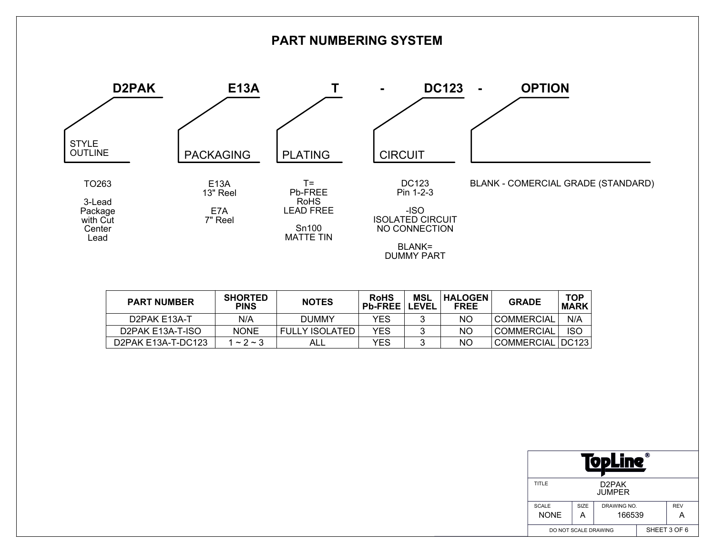

| <b>PART NUMBER</b> | <b>SHORTED</b><br><b>PINS</b> | <b>NOTES</b>          | <b>RoHS</b><br><b>Pb-FREE</b> | MSL<br><b>LEVEL</b> | <b>HALOGEN</b><br><b>FREE</b> | <b>GRADE</b>      | <b>TOP</b><br><b>MARK</b> |
|--------------------|-------------------------------|-----------------------|-------------------------------|---------------------|-------------------------------|-------------------|---------------------------|
| D2PAK E13A-T       | N/A                           | DUMMY                 | YES                           |                     | NO.                           | <b>COMMERCIAL</b> | N/A                       |
| D2PAK E13A-T-ISO   | <b>NONE</b>                   | <b>FULLY ISOLATED</b> | YFS                           |                     | ΝO                            | <b>COMMERCIAL</b> | <b>ISO</b>                |
| D2PAK E13A-T-DC123 | $1 \sim 2 \sim 3$             | ALL                   | YES                           |                     | ΝO                            | COMMERCIAL DC123  |                           |

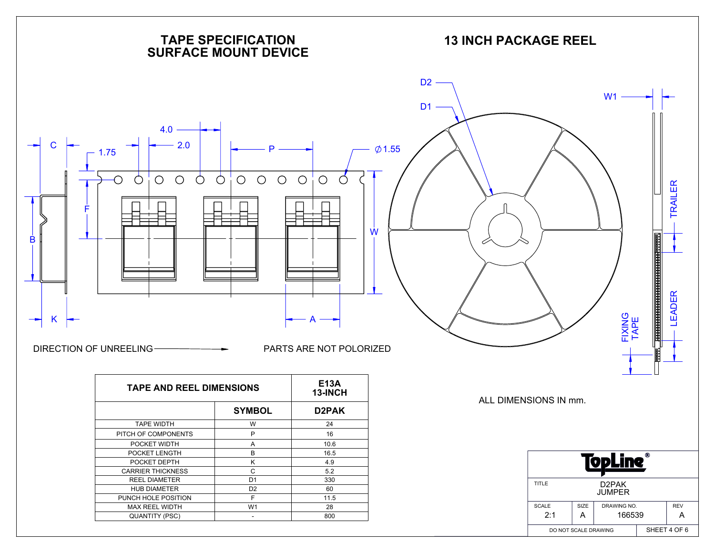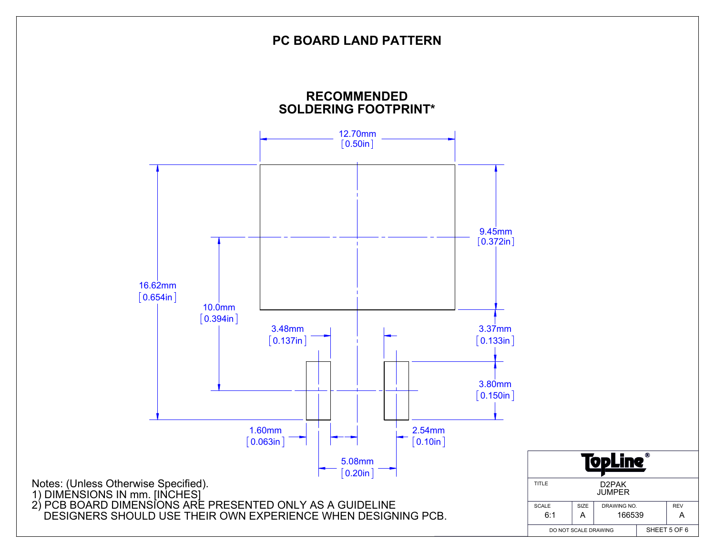